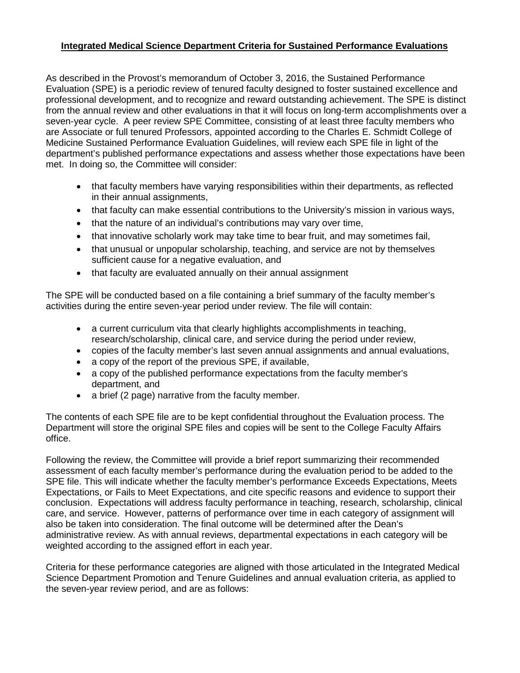## **Integrated Medical Science Department Criteria for Sustained Performance Evaluations**

As described in the Provost's memorandum of October 3, 2016, the Sustained Performance Evaluation (SPE) is a periodic review of tenured faculty designed to foster sustained excellence and professional development, and to recognize and reward outstanding achievement. The SPE is distinct from the annual review and other evaluations in that it will focus on long-term accomplishments over a seven-year cycle. A peer review SPE Committee, consisting of at least three faculty members who are Associate or full tenured Professors, appointed according to the Charles E. Schmidt College of Medicine Sustained Performance Evaluation Guidelines, will review each SPE file in light of the department's published performance expectations and assess whether those expectations have been met. In doing so, the Committee will consider:

- that faculty members have varying responsibilities within their departments, as reflected in their annual assignments,
- that faculty can make essential contributions to the University's mission in various ways,
- that the nature of an individual's contributions may vary over time,
- that innovative scholarly work may take time to bear fruit, and may sometimes fail,
- that unusual or unpopular scholarship, teaching, and service are not by themselves sufficient cause for a negative evaluation, and
- that faculty are evaluated annually on their annual assignment

The SPE will be conducted based on a file containing a brief summary of the faculty member's activities during the entire seven-year period under review. The file will contain:

- a current curriculum vita that clearly highlights accomplishments in teaching, research/scholarship, clinical care, and service during the period under review,
- copies of the faculty member's last seven annual assignments and annual evaluations,
- a copy of the report of the previous SPE, if available,
- a copy of the published performance expectations from the faculty member's department, and
- a brief (2 page) narrative from the faculty member.

The contents of each SPE file are to be kept confidential throughout the Evaluation process. The Department will store the original SPE files and copies will be sent to the College Faculty Affairs office.

Following the review, the Committee will provide a brief report summarizing their recommended assessment of each faculty member's performance during the evaluation period to be added to the SPE file. This will indicate whether the faculty member's performance Exceeds Expectations, Meets Expectations, or Fails to Meet Expectations, and cite specific reasons and evidence to support their conclusion. Expectations will address faculty performance in teaching, research, scholarship, clinical care, and service. However, patterns of performance over time in each category of assignment will also be taken into consideration. The final outcome will be determined after the Dean's administrative review. As with annual reviews, departmental expectations in each category will be weighted according to the assigned effort in each year.

Criteria for these performance categories are aligned with those articulated in the Integrated Medical Science Department Promotion and Tenure Guidelines and annual evaluation criteria, as applied to the seven-year review period, and are as follows: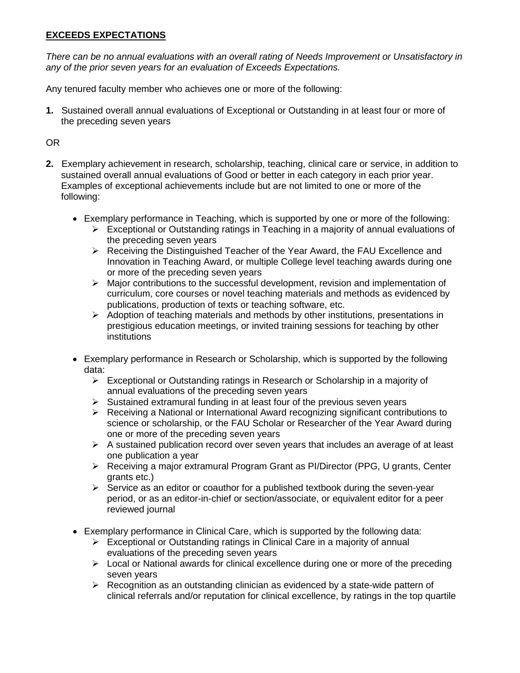## **EXCEEDS EXPECTATIONS**

*There can be no annual evaluations with an overall rating of Needs Improvement or Unsatisfactory in any of the prior seven years for an evaluation of Exceeds Expectations.*

Any tenured faculty member who achieves one or more of the following:

**1.** Sustained overall annual evaluations of Exceptional or Outstanding in at least four or more of the preceding seven years

OR

- **2.** Exemplary achievement in research, scholarship, teaching, clinical care or service, in addition to sustained overall annual evaluations of Good or better in each category in each prior year. Examples of exceptional achievements include but are not limited to one or more of the following:
	- Exemplary performance in Teaching, which is supported by one or more of the following:
		- $\triangleright$  Exceptional or Outstanding ratings in Teaching in a majority of annual evaluations of the preceding seven years
		- ▶ Receiving the Distinguished Teacher of the Year Award, the FAU Excellence and Innovation in Teaching Award, or multiple College level teaching awards during one or more of the preceding seven years
		- $\triangleright$  Major contributions to the successful development, revision and implementation of curriculum, core courses or novel teaching materials and methods as evidenced by publications, production of texts or teaching software, etc.
		- $\triangleright$  Adoption of teaching materials and methods by other institutions, presentations in prestigious education meetings, or invited training sessions for teaching by other institutions
	- Exemplary performance in Research or Scholarship, which is supported by the following data:
		- $\triangleright$  Exceptional or Outstanding ratings in Research or Scholarship in a majority of annual evaluations of the preceding seven years
		- $\triangleright$  Sustained extramural funding in at least four of the previous seven years
		- $\triangleright$  Receiving a National or International Award recognizing significant contributions to science or scholarship, or the FAU Scholar or Researcher of the Year Award during one or more of the preceding seven years
		- $\triangleright$  A sustained publication record over seven years that includes an average of at least one publication a year
		- $\triangleright$  Receiving a major extramural Program Grant as PI/Director (PPG, U grants, Center grants etc.)
		- $\triangleright$  Service as an editor or coauthor for a published textbook during the seven-year period, or as an editor-in-chief or section/associate, or equivalent editor for a peer reviewed journal
	- Exemplary performance in Clinical Care, which is supported by the following data:
		- Exceptional or Outstanding ratings in Clinical Care in a majority of annual evaluations of the preceding seven years
		- $\triangleright$  Local or National awards for clinical excellence during one or more of the preceding seven years
		- $\triangleright$  Recognition as an outstanding clinician as evidenced by a state-wide pattern of clinical referrals and/or reputation for clinical excellence, by ratings in the top quartile